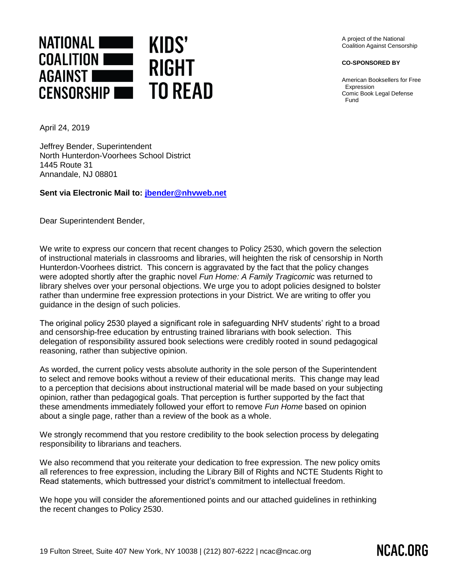

A project of the National Coalition Against Censorship

**CO-SPONSORED BY**

American Booksellers for Free Expression Comic Book Legal Defense Fund

April 24, 2019

Jeffrey Bender, Superintendent North Hunterdon-Voorhees School District 1445 Route 31 Annandale, NJ 08801

**Sent via Electronic Mail to: [jbender@nhvweb.net](mailto:jbender@nhvweb.net)**

Dear Superintendent Bender,

We write to express our concern that recent changes to Policy 2530, which govern the selection of instructional materials in classrooms and libraries, will heighten the risk of censorship in North Hunterdon-Voorhees district. This concern is aggravated by the fact that the policy changes were adopted shortly after the graphic novel *Fun Home: A Family Tragicomic* was returned to library shelves over your personal objections. We urge you to adopt policies designed to bolster rather than undermine free expression protections in your District. We are writing to offer you guidance in the design of such policies.

The original policy 2530 played a significant role in safeguarding NHV students' right to a broad and censorship-free education by entrusting trained librarians with book selection. This delegation of responsibility assured book selections were credibly rooted in sound pedagogical reasoning, rather than subjective opinion.

As worded, the current policy vests absolute authority in the sole person of the Superintendent to select and remove books without a review of their educational merits. This change may lead to a perception that decisions about instructional material will be made based on your subjecting opinion, rather than pedagogical goals. That perception is further supported by the fact that these amendments immediately followed your effort to remove *Fun Home* based on opinion about a single page, rather than a review of the book as a whole.

We strongly recommend that you restore credibility to the book selection process by delegating responsibility to librarians and teachers.

We also recommend that you reiterate your dedication to free expression. The new policy omits all references to free expression, including the Library Bill of Rights and NCTE Students Right to Read statements, which buttressed your district's commitment to intellectual freedom.

We hope you will consider the aforementioned points and our attached guidelines in rethinking the recent changes to Policy 2530.